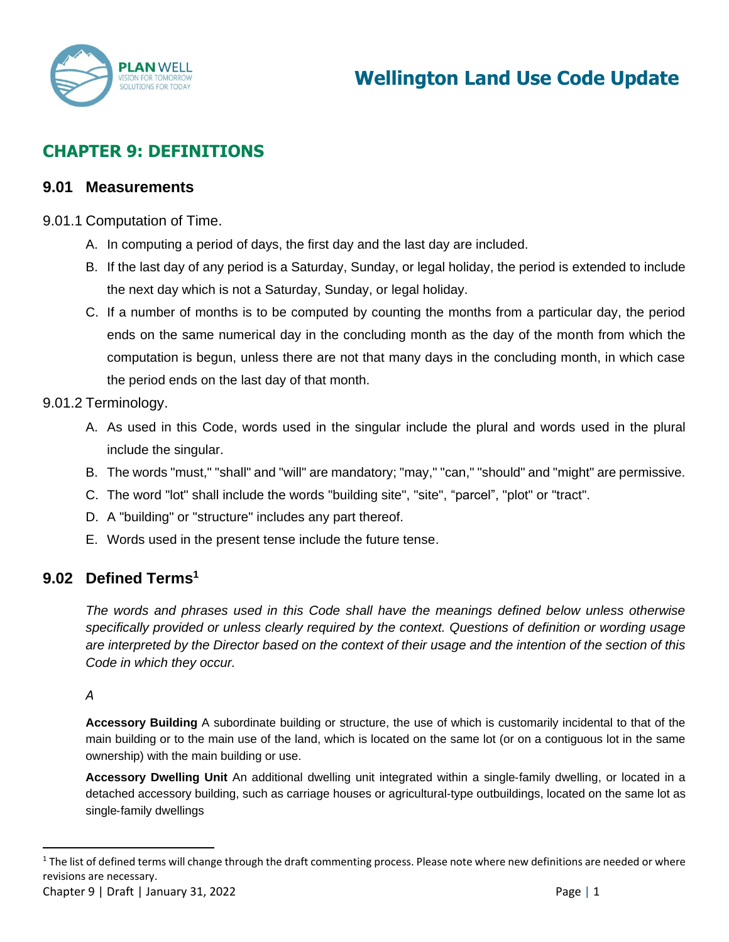

# **CHAPTER 9: DEFINITIONS**

# **9.01 Measurements**

- 9.01.1 Computation of Time.
	- A. In computing a period of days, the first day and the last day are included.
	- B. If the last day of any period is a Saturday, Sunday, or legal holiday, the period is extended to include the next day which is not a Saturday, Sunday, or legal holiday.
	- C. If a number of months is to be computed by counting the months from a particular day, the period ends on the same numerical day in the concluding month as the day of the month from which the computation is begun, unless there are not that many days in the concluding month, in which case the period ends on the last day of that month.

# 9.01.2 Terminology.

- A. As used in this Code, words used in the singular include the plural and words used in the plural include the singular.
- B. The words "must," "shall" and "will" are mandatory; "may," "can," "should" and "might" are permissive.
- C. The word "lot" shall include the words "building site", "site", "parcel", "plot" or "tract".
- D. A "building" or "structure" includes any part thereof.
- E. Words used in the present tense include the future tense.

# **9.02 Defined Terms<sup>1</sup>**

*The words and phrases used in this Code shall have the meanings defined below unless otherwise specifically provided or unless clearly required by the context. Questions of definition or wording usage are interpreted by the Director based on the context of their usage and the intention of the section of this Code in which they occur.*

### *A*

**Accessory Building** A subordinate building or structure, the use of which is customarily incidental to that of the main building or to the main use of the land, which is located on the same lot (or on a contiguous lot in the same ownership) with the main building or use.

**Accessory Dwelling Unit** An additional dwelling unit integrated within a single‐family dwelling, or located in a detached accessory building, such as carriage houses or agricultural‐type outbuildings, located on the same lot as single‐family dwellings

 $1$  The list of defined terms will change through the draft commenting process. Please note where new definitions are needed or where revisions are necessary.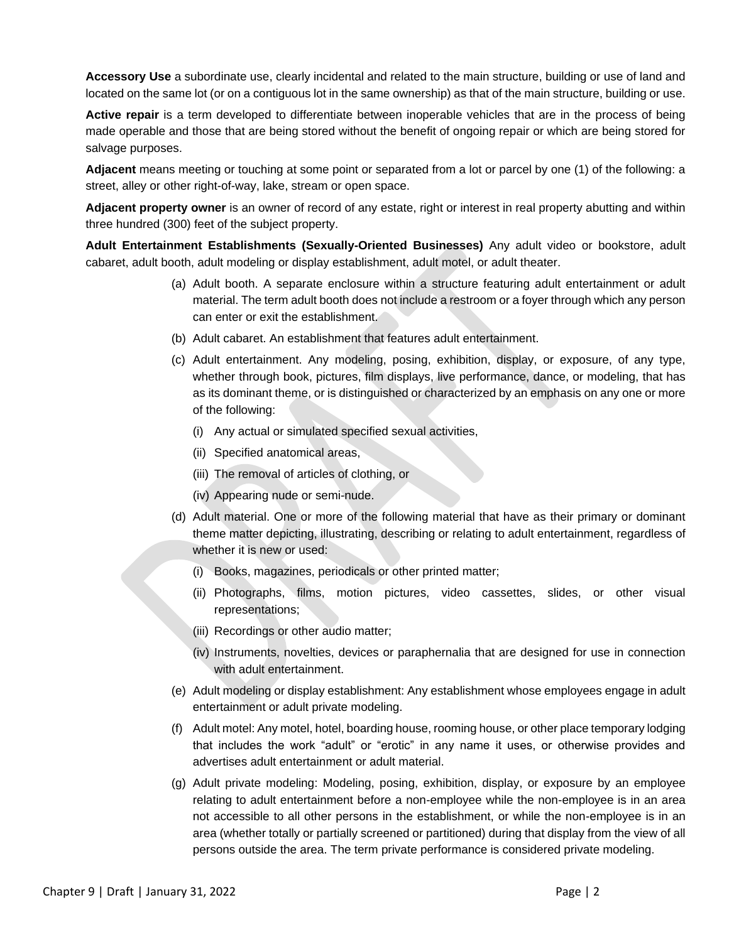**Accessory Use** a subordinate use, clearly incidental and related to the main structure, building or use of land and located on the same lot (or on a contiguous lot in the same ownership) as that of the main structure, building or use.

**Active repair** is a term developed to differentiate between inoperable vehicles that are in the process of being made operable and those that are being stored without the benefit of ongoing repair or which are being stored for salvage purposes.

**Adjacent** means meeting or touching at some point or separated from a lot or parcel by one (1) of the following: a street, alley or other right-of-way, lake, stream or open space.

**Adjacent property owner** is an owner of record of any estate, right or interest in real property abutting and within three hundred (300) feet of the subject property.

**Adult Entertainment Establishments (Sexually-Oriented Businesses)** Any adult video or bookstore, adult cabaret, adult booth, adult modeling or display establishment, adult motel, or adult theater.

- (a) Adult booth. A separate enclosure within a structure featuring adult entertainment or adult material. The term adult booth does not include a restroom or a foyer through which any person can enter or exit the establishment.
- (b) Adult cabaret. An establishment that features adult entertainment.
- (c) Adult entertainment. Any modeling, posing, exhibition, display, or exposure, of any type, whether through book, pictures, film displays, live performance, dance, or modeling, that has as its dominant theme, or is distinguished or characterized by an emphasis on any one or more of the following:
	- (i) Any actual or simulated specified sexual activities,
	- (ii) Specified anatomical areas,
	- (iii) The removal of articles of clothing, or
	- (iv) Appearing nude or semi-nude.
- (d) Adult material. One or more of the following material that have as their primary or dominant theme matter depicting, illustrating, describing or relating to adult entertainment, regardless of whether it is new or used:
	- (i) Books, magazines, periodicals or other printed matter;
	- (ii) Photographs, films, motion pictures, video cassettes, slides, or other visual representations;
	- (iii) Recordings or other audio matter;
	- (iv) Instruments, novelties, devices or paraphernalia that are designed for use in connection with adult entertainment.
- (e) Adult modeling or display establishment: Any establishment whose employees engage in adult entertainment or adult private modeling.
- (f) Adult motel: Any motel, hotel, boarding house, rooming house, or other place temporary lodging that includes the work "adult" or "erotic" in any name it uses, or otherwise provides and advertises adult entertainment or adult material.
- (g) Adult private modeling: Modeling, posing, exhibition, display, or exposure by an employee relating to adult entertainment before a non-employee while the non-employee is in an area not accessible to all other persons in the establishment, or while the non-employee is in an area (whether totally or partially screened or partitioned) during that display from the view of all persons outside the area. The term private performance is considered private modeling.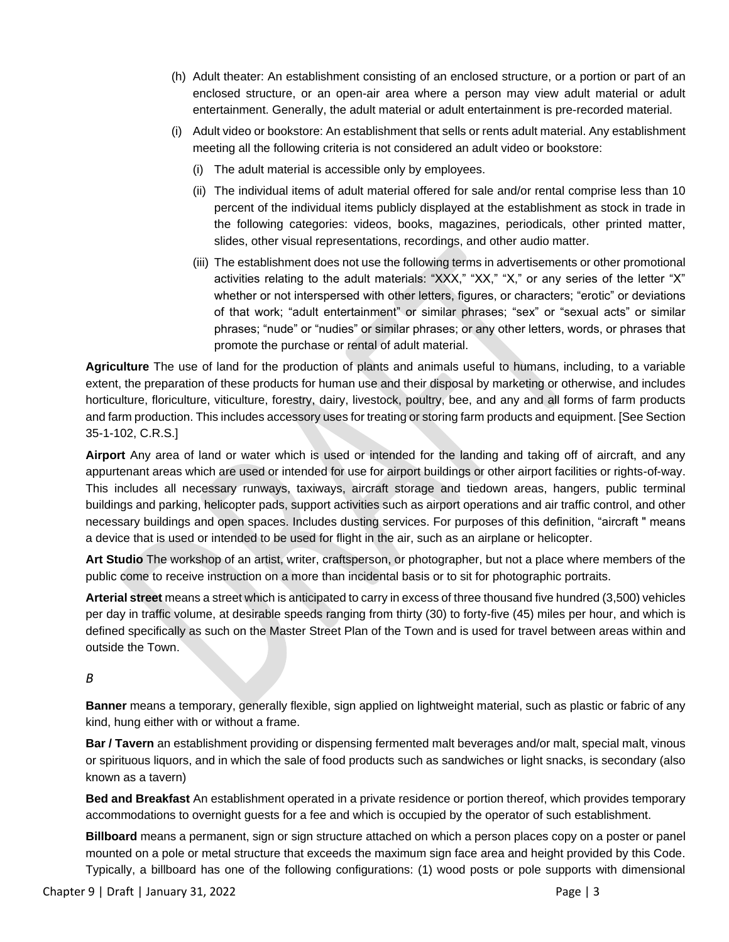- (h) Adult theater: An establishment consisting of an enclosed structure, or a portion or part of an enclosed structure, or an open-air area where a person may view adult material or adult entertainment. Generally, the adult material or adult entertainment is pre-recorded material.
- (i) Adult video or bookstore: An establishment that sells or rents adult material. Any establishment meeting all the following criteria is not considered an adult video or bookstore:
	- (i) The adult material is accessible only by employees.
	- (ii) The individual items of adult material offered for sale and/or rental comprise less than 10 percent of the individual items publicly displayed at the establishment as stock in trade in the following categories: videos, books, magazines, periodicals, other printed matter, slides, other visual representations, recordings, and other audio matter.
	- (iii) The establishment does not use the following terms in advertisements or other promotional activities relating to the adult materials: "XXX," "XX," "X," or any series of the letter "X" whether or not interspersed with other letters, figures, or characters; "erotic" or deviations of that work; "adult entertainment" or similar phrases; "sex" or "sexual acts" or similar phrases; "nude" or "nudies" or similar phrases; or any other letters, words, or phrases that promote the purchase or rental of adult material.

**Agriculture** The use of land for the production of plants and animals useful to humans, including, to a variable extent, the preparation of these products for human use and their disposal by marketing or otherwise, and includes horticulture, floriculture, viticulture, forestry, dairy, livestock, poultry, bee, and any and all forms of farm products and farm production. This includes accessory uses for treating or storing farm products and equipment. [See Section 35-1-102, C.R.S.]

**Airport** Any area of land or water which is used or intended for the landing and taking off of aircraft, and any appurtenant areas which are used or intended for use for airport buildings or other airport facilities or rights-of-way. This includes all necessary runways, taxiways, aircraft storage and tiedown areas, hangers, public terminal buildings and parking, helicopter pads, support activities such as airport operations and air traffic control, and other necessary buildings and open spaces. Includes dusting services. For purposes of this definition, "aircraft " means a device that is used or intended to be used for flight in the air, such as an airplane or helicopter.

**Art Studio** The workshop of an artist, writer, craftsperson, or photographer, but not a place where members of the public come to receive instruction on a more than incidental basis or to sit for photographic portraits.

**Arterial street** means a street which is anticipated to carry in excess of three thousand five hundred (3,500) vehicles per day in traffic volume, at desirable speeds ranging from thirty (30) to forty-five (45) miles per hour, and which is defined specifically as such on the Master Street Plan of the Town and is used for travel between areas within and outside the Town.

#### *B*

**Banner** means a temporary, generally flexible, sign applied on lightweight material, such as plastic or fabric of any kind, hung either with or without a frame.

**Bar / Tavern** an establishment providing or dispensing fermented malt beverages and/or malt, special malt, vinous or spirituous liquors, and in which the sale of food products such as sandwiches or light snacks, is secondary (also known as a tavern)

**Bed and Breakfast** An establishment operated in a private residence or portion thereof, which provides temporary accommodations to overnight guests for a fee and which is occupied by the operator of such establishment.

**Billboard** means a permanent, sign or sign structure attached on which a person places copy on a poster or panel mounted on a pole or metal structure that exceeds the maximum sign face area and height provided by this Code. Typically, a billboard has one of the following configurations: (1) wood posts or pole supports with dimensional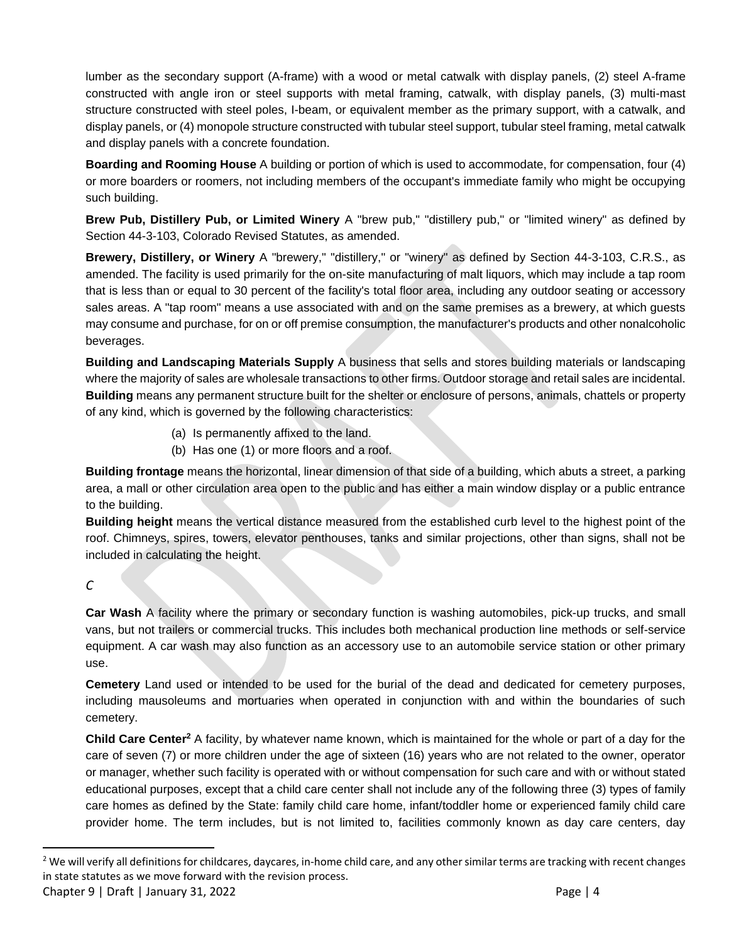lumber as the secondary support (A-frame) with a wood or metal catwalk with display panels, (2) steel A-frame constructed with angle iron or steel supports with metal framing, catwalk, with display panels, (3) multi-mast structure constructed with steel poles, I-beam, or equivalent member as the primary support, with a catwalk, and display panels, or (4) monopole structure constructed with tubular steel support, tubular steel framing, metal catwalk and display panels with a concrete foundation.

**Boarding and Rooming House** A building or portion of which is used to accommodate, for compensation, four (4) or more boarders or roomers, not including members of the occupant's immediate family who might be occupying such building.

**Brew Pub, Distillery Pub, or Limited Winery** A "brew pub," "distillery pub," or "limited winery" as defined by Section 44-3-103, Colorado Revised Statutes, as amended.

**Brewery, Distillery, or Winery** A "brewery," "distillery," or "winery" as defined by Section 44-3-103, C.R.S., as amended. The facility is used primarily for the on-site manufacturing of malt liquors, which may include a tap room that is less than or equal to 30 percent of the facility's total floor area, including any outdoor seating or accessory sales areas. A "tap room" means a use associated with and on the same premises as a brewery, at which guests may consume and purchase, for on or off premise consumption, the manufacturer's products and other nonalcoholic beverages.

**Building and Landscaping Materials Supply** A business that sells and stores building materials or landscaping where the majority of sales are wholesale transactions to other firms. Outdoor storage and retail sales are incidental. **Building** means any permanent structure built for the shelter or enclosure of persons, animals, chattels or property of any kind, which is governed by the following characteristics:

- (a) Is permanently affixed to the land.
- (b) Has one (1) or more floors and a roof.

**Building frontage** means the horizontal, linear dimension of that side of a building, which abuts a street, a parking area, a mall or other circulation area open to the public and has either a main window display or a public entrance to the building.

**Building height** means the vertical distance measured from the established curb level to the highest point of the roof. Chimneys, spires, towers, elevator penthouses, tanks and similar projections, other than signs, shall not be included in calculating the height.

# *C*

**Car Wash** A facility where the primary or secondary function is washing automobiles, pick-up trucks, and small vans, but not trailers or commercial trucks. This includes both mechanical production line methods or self-service equipment. A car wash may also function as an accessory use to an automobile service station or other primary use.

**Cemetery** Land used or intended to be used for the burial of the dead and dedicated for cemetery purposes, including mausoleums and mortuaries when operated in conjunction with and within the boundaries of such cemetery.

**Child Care Center<sup>2</sup>** A facility, by whatever name known, which is maintained for the whole or part of a day for the care of seven (7) or more children under the age of sixteen (16) years who are not related to the owner, operator or manager, whether such facility is operated with or without compensation for such care and with or without stated educational purposes, except that a child care center shall not include any of the following three (3) types of family care homes as defined by the State: family child care home, infant/toddler home or experienced family child care provider home. The term includes, but is not limited to, facilities commonly known as day care centers, day

<sup>&</sup>lt;sup>2</sup> We will verify all definitions for childcares, daycares, in-home child care, and any other similar terms are tracking with recent changes in state statutes as we move forward with the revision process.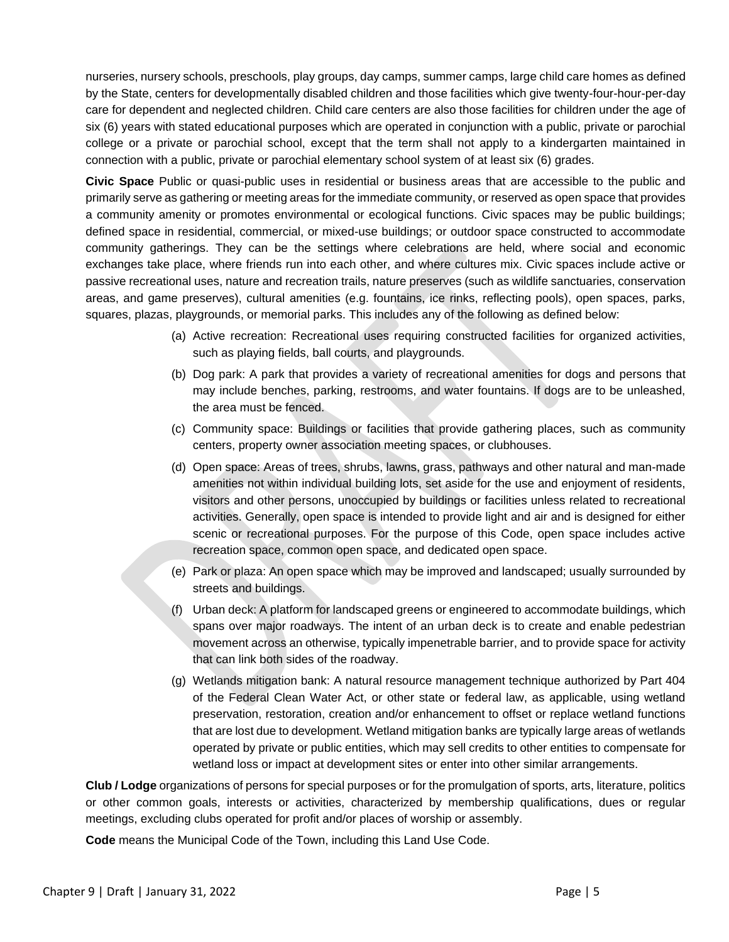nurseries, nursery schools, preschools, play groups, day camps, summer camps, large child care homes as defined by the State, centers for developmentally disabled children and those facilities which give twenty-four-hour-per-day care for dependent and neglected children. Child care centers are also those facilities for children under the age of six (6) years with stated educational purposes which are operated in conjunction with a public, private or parochial college or a private or parochial school, except that the term shall not apply to a kindergarten maintained in connection with a public, private or parochial elementary school system of at least six (6) grades.

**Civic Space** Public or quasi-public uses in residential or business areas that are accessible to the public and primarily serve as gathering or meeting areas for the immediate community, or reserved as open space that provides a community amenity or promotes environmental or ecological functions. Civic spaces may be public buildings; defined space in residential, commercial, or mixed-use buildings; or outdoor space constructed to accommodate community gatherings. They can be the settings where celebrations are held, where social and economic exchanges take place, where friends run into each other, and where cultures mix. Civic spaces include active or passive recreational uses, nature and recreation trails, nature preserves (such as wildlife sanctuaries, conservation areas, and game preserves), cultural amenities (e.g. fountains, ice rinks, reflecting pools), open spaces, parks, squares, plazas, playgrounds, or memorial parks. This includes any of the following as defined below:

- (a) Active recreation: Recreational uses requiring constructed facilities for organized activities, such as playing fields, ball courts, and playgrounds.
- (b) Dog park: A park that provides a variety of recreational amenities for dogs and persons that may include benches, parking, restrooms, and water fountains. If dogs are to be unleashed, the area must be fenced.
- (c) Community space: Buildings or facilities that provide gathering places, such as community centers, property owner association meeting spaces, or clubhouses.
- (d) Open space: Areas of trees, shrubs, lawns, grass, pathways and other natural and man-made amenities not within individual building lots, set aside for the use and enjoyment of residents, visitors and other persons, unoccupied by buildings or facilities unless related to recreational activities. Generally, open space is intended to provide light and air and is designed for either scenic or recreational purposes. For the purpose of this Code, open space includes active recreation space, common open space, and dedicated open space.
- (e) Park or plaza: An open space which may be improved and landscaped; usually surrounded by streets and buildings.
- (f) Urban deck: A platform for landscaped greens or engineered to accommodate buildings, which spans over major roadways. The intent of an urban deck is to create and enable pedestrian movement across an otherwise, typically impenetrable barrier, and to provide space for activity that can link both sides of the roadway.
- (g) Wetlands mitigation bank: A natural resource management technique authorized by Part 404 of the Federal Clean Water Act, or other state or federal law, as applicable, using wetland preservation, restoration, creation and/or enhancement to offset or replace wetland functions that are lost due to development. Wetland mitigation banks are typically large areas of wetlands operated by private or public entities, which may sell credits to other entities to compensate for wetland loss or impact at development sites or enter into other similar arrangements.

**Club / Lodge** organizations of persons for special purposes or for the promulgation of sports, arts, literature, politics or other common goals, interests or activities, characterized by membership qualifications, dues or regular meetings, excluding clubs operated for profit and/or places of worship or assembly.

**Code** means the Municipal Code of the Town, including this Land Use Code.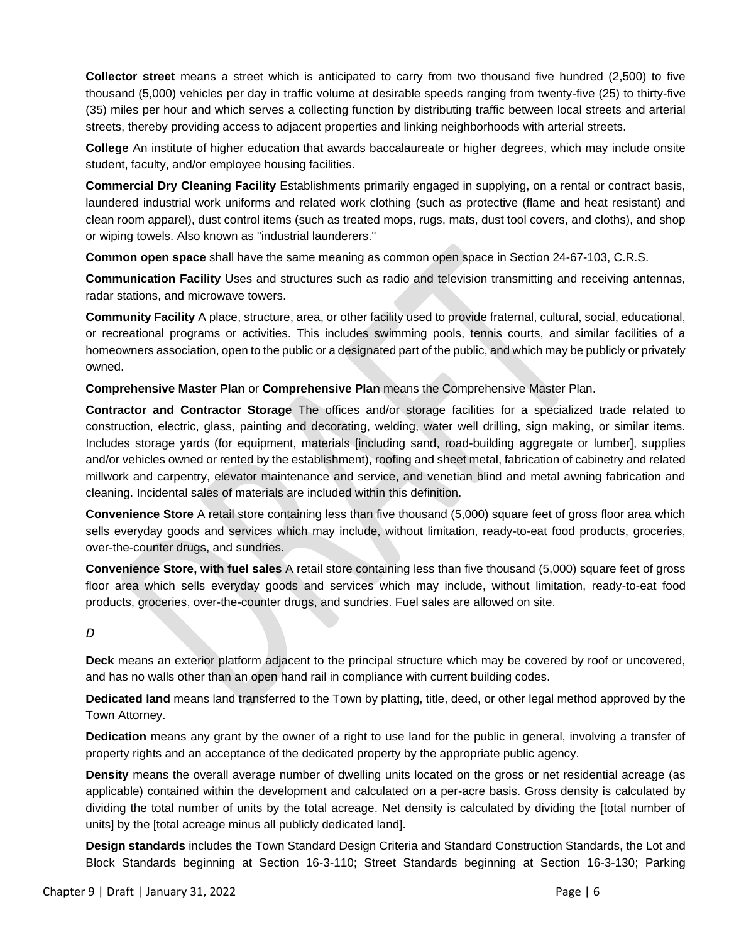**Collector street** means a street which is anticipated to carry from two thousand five hundred (2,500) to five thousand (5,000) vehicles per day in traffic volume at desirable speeds ranging from twenty-five (25) to thirty-five (35) miles per hour and which serves a collecting function by distributing traffic between local streets and arterial streets, thereby providing access to adjacent properties and linking neighborhoods with arterial streets.

**College** An institute of higher education that awards baccalaureate or higher degrees, which may include onsite student, faculty, and/or employee housing facilities.

**Commercial Dry Cleaning Facility** Establishments primarily engaged in supplying, on a rental or contract basis, laundered industrial work uniforms and related work clothing (such as protective (flame and heat resistant) and clean room apparel), dust control items (such as treated mops, rugs, mats, dust tool covers, and cloths), and shop or wiping towels. Also known as "industrial launderers."

**Common open space** shall have the same meaning as common open space in Section 24-67-103, C.R.S.

**Communication Facility** Uses and structures such as radio and television transmitting and receiving antennas, radar stations, and microwave towers.

**Community Facility** A place, structure, area, or other facility used to provide fraternal, cultural, social, educational, or recreational programs or activities. This includes swimming pools, tennis courts, and similar facilities of a homeowners association, open to the public or a designated part of the public, and which may be publicly or privately owned.

**Comprehensive Master Plan** or **Comprehensive Plan** means the Comprehensive Master Plan.

**Contractor and Contractor Storage** The offices and/or storage facilities for a specialized trade related to construction, electric, glass, painting and decorating, welding, water well drilling, sign making, or similar items. Includes storage yards (for equipment, materials [including sand, road-building aggregate or lumber], supplies and/or vehicles owned or rented by the establishment), roofing and sheet metal, fabrication of cabinetry and related millwork and carpentry, elevator maintenance and service, and venetian blind and metal awning fabrication and cleaning. Incidental sales of materials are included within this definition.

**Convenience Store** A retail store containing less than five thousand (5,000) square feet of gross floor area which sells everyday goods and services which may include, without limitation, ready-to-eat food products, groceries, over-the-counter drugs, and sundries.

**Convenience Store, with fuel sales** A retail store containing less than five thousand (5,000) square feet of gross floor area which sells everyday goods and services which may include, without limitation, ready-to-eat food products, groceries, over-the-counter drugs, and sundries. Fuel sales are allowed on site.

#### *D*

**Deck** means an exterior platform adjacent to the principal structure which may be covered by roof or uncovered, and has no walls other than an open hand rail in compliance with current building codes.

**Dedicated land** means land transferred to the Town by platting, title, deed, or other legal method approved by the Town Attorney.

**Dedication** means any grant by the owner of a right to use land for the public in general, involving a transfer of property rights and an acceptance of the dedicated property by the appropriate public agency.

**Density** means the overall average number of dwelling units located on the gross or net residential acreage (as applicable) contained within the development and calculated on a per-acre basis. Gross density is calculated by dividing the total number of units by the total acreage. Net density is calculated by dividing the [total number of units] by the [total acreage minus all publicly dedicated land].

**Design standards** includes the Town Standard Design Criteria and Standard Construction Standards, the Lot and Block Standards beginning at Section 16-3-110; Street Standards beginning at Section 16-3-130; Parking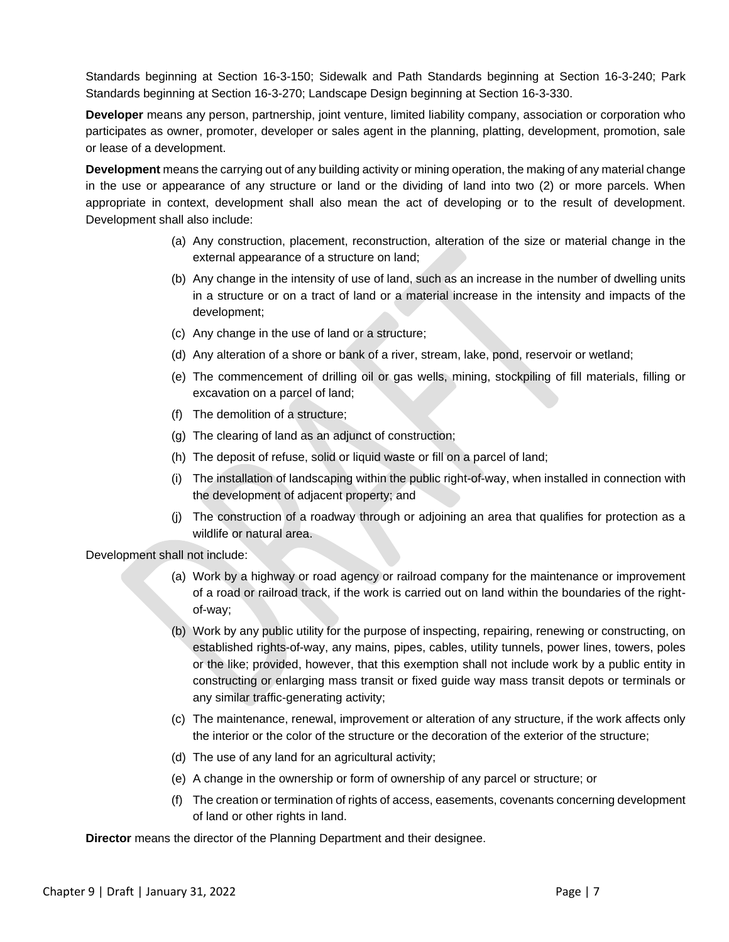Standards beginning at Section 16-3-150; Sidewalk and Path Standards beginning at Section 16-3-240; Park Standards beginning at Section 16-3-270; Landscape Design beginning at Section 16-3-330.

**Developer** means any person, partnership, joint venture, limited liability company, association or corporation who participates as owner, promoter, developer or sales agent in the planning, platting, development, promotion, sale or lease of a development.

**Development** means the carrying out of any building activity or mining operation, the making of any material change in the use or appearance of any structure or land or the dividing of land into two (2) or more parcels. When appropriate in context, development shall also mean the act of developing or to the result of development. Development shall also include:

- (a) Any construction, placement, reconstruction, alteration of the size or material change in the external appearance of a structure on land;
- (b) Any change in the intensity of use of land, such as an increase in the number of dwelling units in a structure or on a tract of land or a material increase in the intensity and impacts of the development;
- (c) Any change in the use of land or a structure;
- (d) Any alteration of a shore or bank of a river, stream, lake, pond, reservoir or wetland;
- (e) The commencement of drilling oil or gas wells, mining, stockpiling of fill materials, filling or excavation on a parcel of land;
- (f) The demolition of a structure;
- (g) The clearing of land as an adjunct of construction;
- (h) The deposit of refuse, solid or liquid waste or fill on a parcel of land;
- (i) The installation of landscaping within the public right-of-way, when installed in connection with the development of adjacent property; and
- (j) The construction of a roadway through or adjoining an area that qualifies for protection as a wildlife or natural area.

Development shall not include:

- (a) Work by a highway or road agency or railroad company for the maintenance or improvement of a road or railroad track, if the work is carried out on land within the boundaries of the rightof-way;
- (b) Work by any public utility for the purpose of inspecting, repairing, renewing or constructing, on established rights-of-way, any mains, pipes, cables, utility tunnels, power lines, towers, poles or the like; provided, however, that this exemption shall not include work by a public entity in constructing or enlarging mass transit or fixed guide way mass transit depots or terminals or any similar traffic-generating activity;
- (c) The maintenance, renewal, improvement or alteration of any structure, if the work affects only the interior or the color of the structure or the decoration of the exterior of the structure;
- (d) The use of any land for an agricultural activity;
- (e) A change in the ownership or form of ownership of any parcel or structure; or
- (f) The creation or termination of rights of access, easements, covenants concerning development of land or other rights in land.

**Director** means the director of the Planning Department and their designee.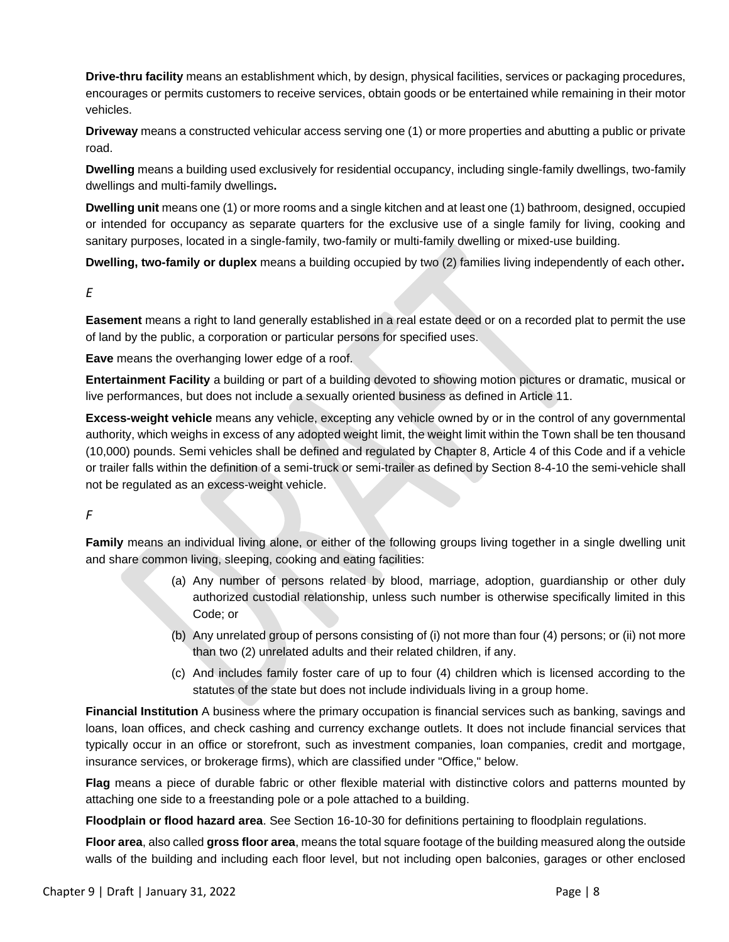**Drive-thru facility** means an establishment which, by design, physical facilities, services or packaging procedures, encourages or permits customers to receive services, obtain goods or be entertained while remaining in their motor vehicles.

**Driveway** means a constructed vehicular access serving one (1) or more properties and abutting a public or private road.

**Dwelling** means a building used exclusively for residential occupancy, including single-family dwellings, two-family dwellings and multi-family dwellings**.** 

**Dwelling unit** means one (1) or more rooms and a single kitchen and at least one (1) bathroom, designed, occupied or intended for occupancy as separate quarters for the exclusive use of a single family for living, cooking and sanitary purposes, located in a single-family, two-family or multi-family dwelling or mixed-use building.

**Dwelling, two-family or duplex** means a building occupied by two (2) families living independently of each other**.**

#### *E*

**Easement** means a right to land generally established in a real estate deed or on a recorded plat to permit the use of land by the public, a corporation or particular persons for specified uses.

**Eave** means the overhanging lower edge of a roof.

**Entertainment Facility** a building or part of a building devoted to showing motion pictures or dramatic, musical or live performances, but does not include a sexually oriented business as defined in Article 11.

**Excess-weight vehicle** means any vehicle, excepting any vehicle owned by or in the control of any governmental authority, which weighs in excess of any adopted weight limit, the weight limit within the Town shall be ten thousand (10,000) pounds. Semi vehicles shall be defined and regulated by Chapter 8, Article 4 of this Code and if a vehicle or trailer falls within the definition of a semi-truck or semi-trailer as defined by Section 8-4-10 the semi-vehicle shall not be regulated as an excess-weight vehicle.

#### *F*

**Family** means an individual living alone, or either of the following groups living together in a single dwelling unit and share common living, sleeping, cooking and eating facilities:

- (a) Any number of persons related by blood, marriage, adoption, guardianship or other duly authorized custodial relationship, unless such number is otherwise specifically limited in this Code; or
- (b) Any unrelated group of persons consisting of (i) not more than four (4) persons; or (ii) not more than two (2) unrelated adults and their related children, if any.
- (c) And includes family foster care of up to four (4) children which is licensed according to the statutes of the state but does not include individuals living in a group home.

**Financial Institution** A business where the primary occupation is financial services such as banking, savings and loans, loan offices, and check cashing and currency exchange outlets. It does not include financial services that typically occur in an office or storefront, such as investment companies, loan companies, credit and mortgage, insurance services, or brokerage firms), which are classified under "Office," below.

**Flag** means a piece of durable fabric or other flexible material with distinctive colors and patterns mounted by attaching one side to a freestanding pole or a pole attached to a building.

**Floodplain or flood hazard area**. See Section 16-10-30 for definitions pertaining to floodplain regulations.

**Floor area**, also called **gross floor area**, means the total square footage of the building measured along the outside walls of the building and including each floor level, but not including open balconies, garages or other enclosed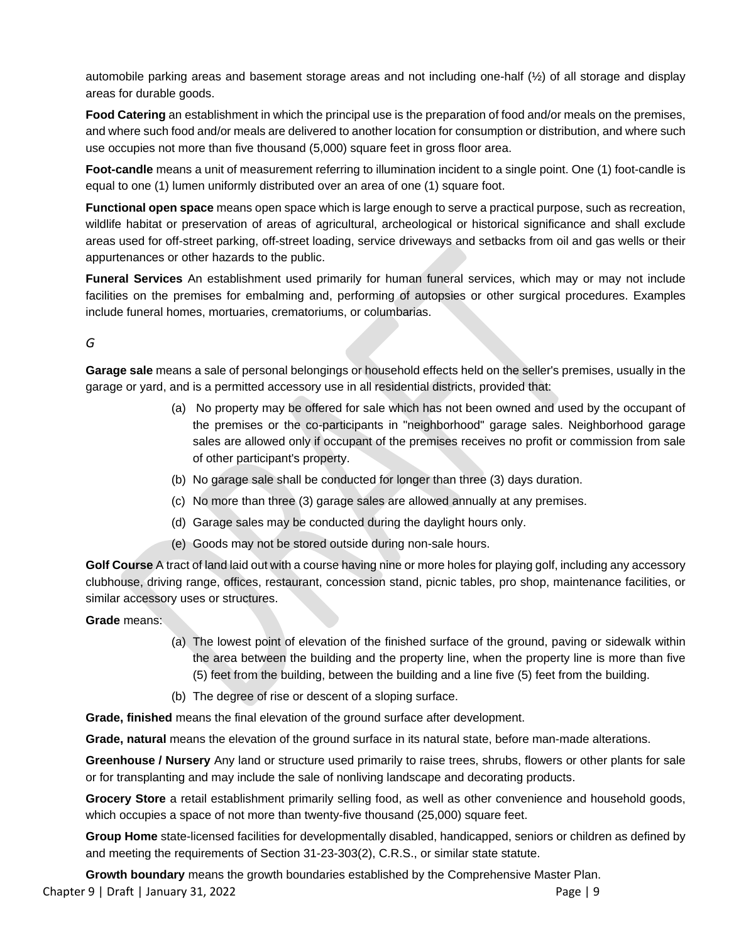automobile parking areas and basement storage areas and not including one-half (½) of all storage and display areas for durable goods.

**Food Catering** an establishment in which the principal use is the preparation of food and/or meals on the premises, and where such food and/or meals are delivered to another location for consumption or distribution, and where such use occupies not more than five thousand (5,000) square feet in gross floor area.

**Foot-candle** means a unit of measurement referring to illumination incident to a single point. One (1) foot-candle is equal to one (1) lumen uniformly distributed over an area of one (1) square foot.

**Functional open space** means open space which is large enough to serve a practical purpose, such as recreation, wildlife habitat or preservation of areas of agricultural, archeological or historical significance and shall exclude areas used for off-street parking, off-street loading, service driveways and setbacks from oil and gas wells or their appurtenances or other hazards to the public.

**Funeral Services** An establishment used primarily for human funeral services, which may or may not include facilities on the premises for embalming and, performing of autopsies or other surgical procedures. Examples include funeral homes, mortuaries, crematoriums, or columbarias.

# *G*

**Garage sale** means a sale of personal belongings or household effects held on the seller's premises, usually in the garage or yard, and is a permitted accessory use in all residential districts, provided that:

- (a) No property may be offered for sale which has not been owned and used by the occupant of the premises or the co-participants in "neighborhood" garage sales. Neighborhood garage sales are allowed only if occupant of the premises receives no profit or commission from sale of other participant's property.
- (b) No garage sale shall be conducted for longer than three (3) days duration.
- (c) No more than three (3) garage sales are allowed annually at any premises.
- (d) Garage sales may be conducted during the daylight hours only.
- (e) Goods may not be stored outside during non-sale hours.

**Golf Course** A tract of land laid out with a course having nine or more holes for playing golf, including any accessory clubhouse, driving range, offices, restaurant, concession stand, picnic tables, pro shop, maintenance facilities, or similar accessory uses or structures.

#### **Grade** means:

- (a) The lowest point of elevation of the finished surface of the ground, paving or sidewalk within the area between the building and the property line, when the property line is more than five (5) feet from the building, between the building and a line five (5) feet from the building.
- (b) The degree of rise or descent of a sloping surface.

**Grade, finished** means the final elevation of the ground surface after development.

**Grade, natural** means the elevation of the ground surface in its natural state, before man-made alterations.

**Greenhouse / Nursery** Any land or structure used primarily to raise trees, shrubs, flowers or other plants for sale or for transplanting and may include the sale of nonliving landscape and decorating products.

**Grocery Store** a retail establishment primarily selling food, as well as other convenience and household goods, which occupies a space of not more than twenty-five thousand (25,000) square feet.

**Group Home** state-licensed facilities for developmentally disabled, handicapped, seniors or children as defined by and meeting the requirements of Section 31-23-303(2), C.R.S., or similar state statute.

Chapter 9 | Draft | January 31, 2022 **Page | 9 Growth boundary** means the growth boundaries established by the Comprehensive Master Plan.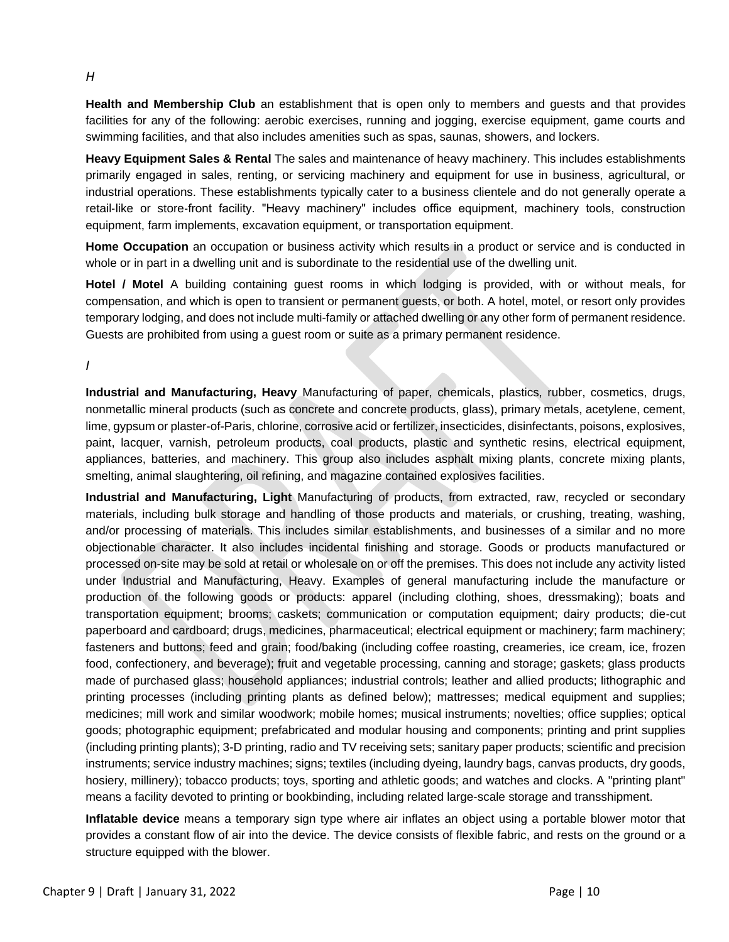**Health and Membership Club** an establishment that is open only to members and guests and that provides facilities for any of the following: aerobic exercises, running and jogging, exercise equipment, game courts and swimming facilities, and that also includes amenities such as spas, saunas, showers, and lockers.

**Heavy Equipment Sales & Rental** The sales and maintenance of heavy machinery. This includes establishments primarily engaged in sales, renting, or servicing machinery and equipment for use in business, agricultural, or industrial operations. These establishments typically cater to a business clientele and do not generally operate a retail-like or store-front facility. "Heavy machinery" includes office equipment, machinery tools, construction equipment, farm implements, excavation equipment, or transportation equipment.

**Home Occupation** an occupation or business activity which results in a product or service and is conducted in whole or in part in a dwelling unit and is subordinate to the residential use of the dwelling unit.

**Hotel / Motel** A building containing guest rooms in which lodging is provided, with or without meals, for compensation, and which is open to transient or permanent guests, or both. A hotel, motel, or resort only provides temporary lodging, and does not include multi-family or attached dwelling or any other form of permanent residence. Guests are prohibited from using a guest room or suite as a primary permanent residence.

*I*

**Industrial and Manufacturing, Heavy** Manufacturing of paper, chemicals, plastics, rubber, cosmetics, drugs, nonmetallic mineral products (such as concrete and concrete products, glass), primary metals, acetylene, cement, lime, gypsum or plaster-of-Paris, chlorine, corrosive acid or fertilizer, insecticides, disinfectants, poisons, explosives, paint, lacquer, varnish, petroleum products, coal products, plastic and synthetic resins, electrical equipment, appliances, batteries, and machinery. This group also includes asphalt mixing plants, concrete mixing plants, smelting, animal slaughtering, oil refining, and magazine contained explosives facilities.

**Industrial and Manufacturing, Light** Manufacturing of products, from extracted, raw, recycled or secondary materials, including bulk storage and handling of those products and materials, or crushing, treating, washing, and/or processing of materials. This includes similar establishments, and businesses of a similar and no more objectionable character. It also includes incidental finishing and storage. Goods or products manufactured or processed on-site may be sold at retail or wholesale on or off the premises. This does not include any activity listed under Industrial and Manufacturing, Heavy. Examples of general manufacturing include the manufacture or production of the following goods or products: apparel (including clothing, shoes, dressmaking); boats and transportation equipment; brooms; caskets; communication or computation equipment; dairy products; die-cut paperboard and cardboard; drugs, medicines, pharmaceutical; electrical equipment or machinery; farm machinery; fasteners and buttons; feed and grain; food/baking (including coffee roasting, creameries, ice cream, ice, frozen food, confectionery, and beverage); fruit and vegetable processing, canning and storage; gaskets; glass products made of purchased glass; household appliances; industrial controls; leather and allied products; lithographic and printing processes (including printing plants as defined below); mattresses; medical equipment and supplies; medicines; mill work and similar woodwork; mobile homes; musical instruments; novelties; office supplies; optical goods; photographic equipment; prefabricated and modular housing and components; printing and print supplies (including printing plants); 3-D printing, radio and TV receiving sets; sanitary paper products; scientific and precision instruments; service industry machines; signs; textiles (including dyeing, laundry bags, canvas products, dry goods, hosiery, millinery); tobacco products; toys, sporting and athletic goods; and watches and clocks. A "printing plant" means a facility devoted to printing or bookbinding, including related large-scale storage and transshipment.

**Inflatable device** means a temporary sign type where air inflates an object using a portable blower motor that provides a constant flow of air into the device. The device consists of flexible fabric, and rests on the ground or a structure equipped with the blower.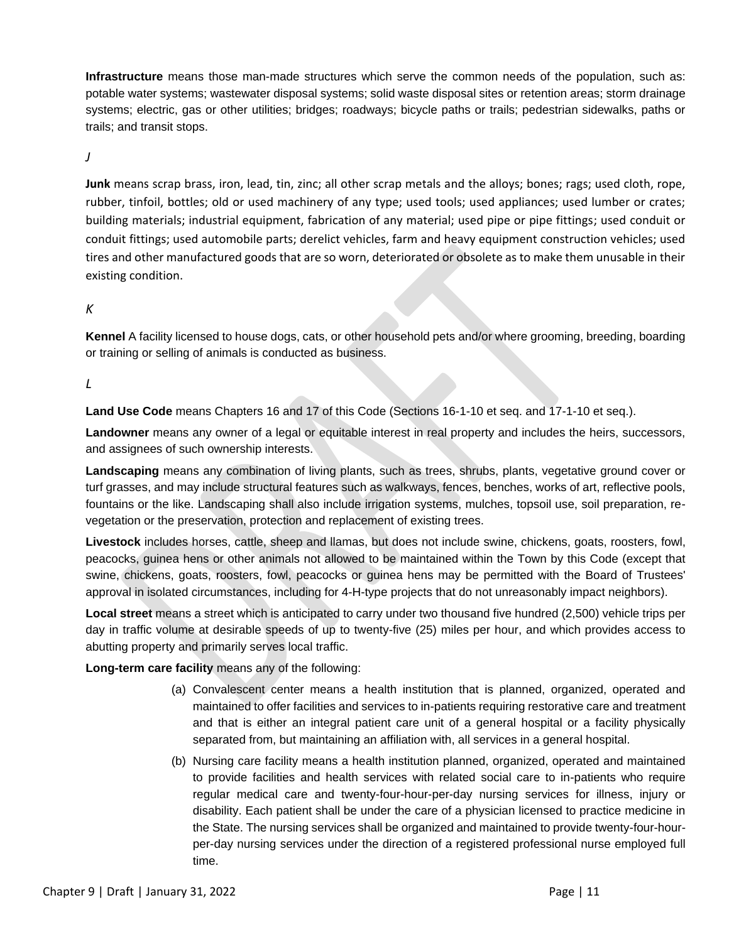**Infrastructure** means those man-made structures which serve the common needs of the population, such as: potable water systems; wastewater disposal systems; solid waste disposal sites or retention areas; storm drainage systems; electric, gas or other utilities; bridges; roadways; bicycle paths or trails; pedestrian sidewalks, paths or trails; and transit stops.

*J*

**Junk** means scrap brass, iron, lead, tin, zinc; all other scrap metals and the alloys; bones; rags; used cloth, rope, rubber, tinfoil, bottles; old or used machinery of any type; used tools; used appliances; used lumber or crates; building materials; industrial equipment, fabrication of any material; used pipe or pipe fittings; used conduit or conduit fittings; used automobile parts; derelict vehicles, farm and heavy equipment construction vehicles; used tires and other manufactured goods that are so worn, deteriorated or obsolete as to make them unusable in their existing condition.

#### *K*

**Kennel** A facility licensed to house dogs, cats, or other household pets and/or where grooming, breeding, boarding or training or selling of animals is conducted as business.

#### *L*

**Land Use Code** means Chapters 16 and 17 of this Code (Sections 16-1-10 et seq. and 17-1-10 et seq.).

**Landowner** means any owner of a legal or equitable interest in real property and includes the heirs, successors, and assignees of such ownership interests.

**Landscaping** means any combination of living plants, such as trees, shrubs, plants, vegetative ground cover or turf grasses, and may include structural features such as walkways, fences, benches, works of art, reflective pools, fountains or the like. Landscaping shall also include irrigation systems, mulches, topsoil use, soil preparation, revegetation or the preservation, protection and replacement of existing trees.

**Livestock** includes horses, cattle, sheep and llamas, but does not include swine, chickens, goats, roosters, fowl, peacocks, guinea hens or other animals not allowed to be maintained within the Town by this Code (except that swine, chickens, goats, roosters, fowl, peacocks or guinea hens may be permitted with the Board of Trustees' approval in isolated circumstances, including for 4-H-type projects that do not unreasonably impact neighbors).

**Local street** means a street which is anticipated to carry under two thousand five hundred (2,500) vehicle trips per day in traffic volume at desirable speeds of up to twenty-five (25) miles per hour, and which provides access to abutting property and primarily serves local traffic.

#### **Long-term care facility** means any of the following:

- (a) Convalescent center means a health institution that is planned, organized, operated and maintained to offer facilities and services to in-patients requiring restorative care and treatment and that is either an integral patient care unit of a general hospital or a facility physically separated from, but maintaining an affiliation with, all services in a general hospital.
- (b) Nursing care facility means a health institution planned, organized, operated and maintained to provide facilities and health services with related social care to in-patients who require regular medical care and twenty-four-hour-per-day nursing services for illness, injury or disability. Each patient shall be under the care of a physician licensed to practice medicine in the State. The nursing services shall be organized and maintained to provide twenty-four-hourper-day nursing services under the direction of a registered professional nurse employed full time.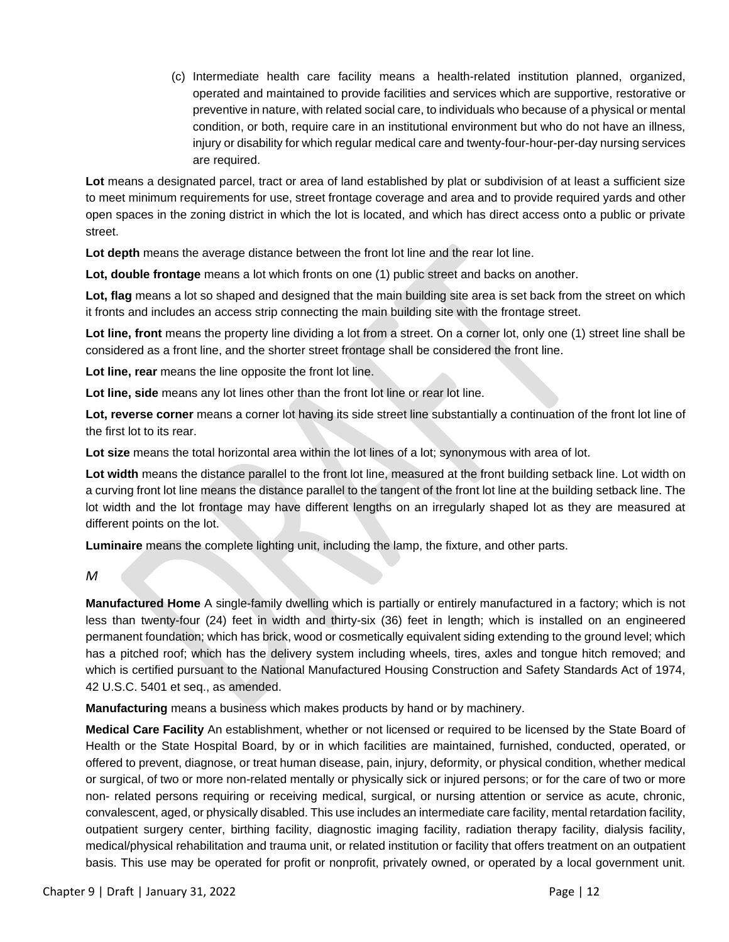(c) Intermediate health care facility means a health-related institution planned, organized, operated and maintained to provide facilities and services which are supportive, restorative or preventive in nature, with related social care, to individuals who because of a physical or mental condition, or both, require care in an institutional environment but who do not have an illness, injury or disability for which regular medical care and twenty-four-hour-per-day nursing services are required.

**Lot** means a designated parcel, tract or area of land established by plat or subdivision of at least a sufficient size to meet minimum requirements for use, street frontage coverage and area and to provide required yards and other open spaces in the zoning district in which the lot is located, and which has direct access onto a public or private street.

**Lot depth** means the average distance between the front lot line and the rear lot line.

**Lot, double frontage** means a lot which fronts on one (1) public street and backs on another.

**Lot, flag** means a lot so shaped and designed that the main building site area is set back from the street on which it fronts and includes an access strip connecting the main building site with the frontage street.

**Lot line, front** means the property line dividing a lot from a street. On a corner lot, only one (1) street line shall be considered as a front line, and the shorter street frontage shall be considered the front line.

**Lot line, rear** means the line opposite the front lot line.

**Lot line, side** means any lot lines other than the front lot line or rear lot line.

**Lot, reverse corner** means a corner lot having its side street line substantially a continuation of the front lot line of the first lot to its rear.

**Lot size** means the total horizontal area within the lot lines of a lot; synonymous with area of lot.

**Lot width** means the distance parallel to the front lot line, measured at the front building setback line. Lot width on a curving front lot line means the distance parallel to the tangent of the front lot line at the building setback line. The lot width and the lot frontage may have different lengths on an irregularly shaped lot as they are measured at different points on the lot.

**Luminaire** means the complete lighting unit, including the lamp, the fixture, and other parts.

*M*

**Manufactured Home** A single-family dwelling which is partially or entirely manufactured in a factory; which is not less than twenty-four (24) feet in width and thirty-six (36) feet in length; which is installed on an engineered permanent foundation; which has brick, wood or cosmetically equivalent siding extending to the ground level; which has a pitched roof; which has the delivery system including wheels, tires, axles and tongue hitch removed; and which is certified pursuant to the National Manufactured Housing Construction and Safety Standards Act of 1974, 42 U.S.C. 5401 et seq., as amended.

**Manufacturing** means a business which makes products by hand or by machinery.

**Medical Care Facility** An establishment, whether or not licensed or required to be licensed by the State Board of Health or the State Hospital Board, by or in which facilities are maintained, furnished, conducted, operated, or offered to prevent, diagnose, or treat human disease, pain, injury, deformity, or physical condition, whether medical or surgical, of two or more non-related mentally or physically sick or injured persons; or for the care of two or more non- related persons requiring or receiving medical, surgical, or nursing attention or service as acute, chronic, convalescent, aged, or physically disabled. This use includes an intermediate care facility, mental retardation facility, outpatient surgery center, birthing facility, diagnostic imaging facility, radiation therapy facility, dialysis facility, medical/physical rehabilitation and trauma unit, or related institution or facility that offers treatment on an outpatient basis. This use may be operated for profit or nonprofit, privately owned, or operated by a local government unit.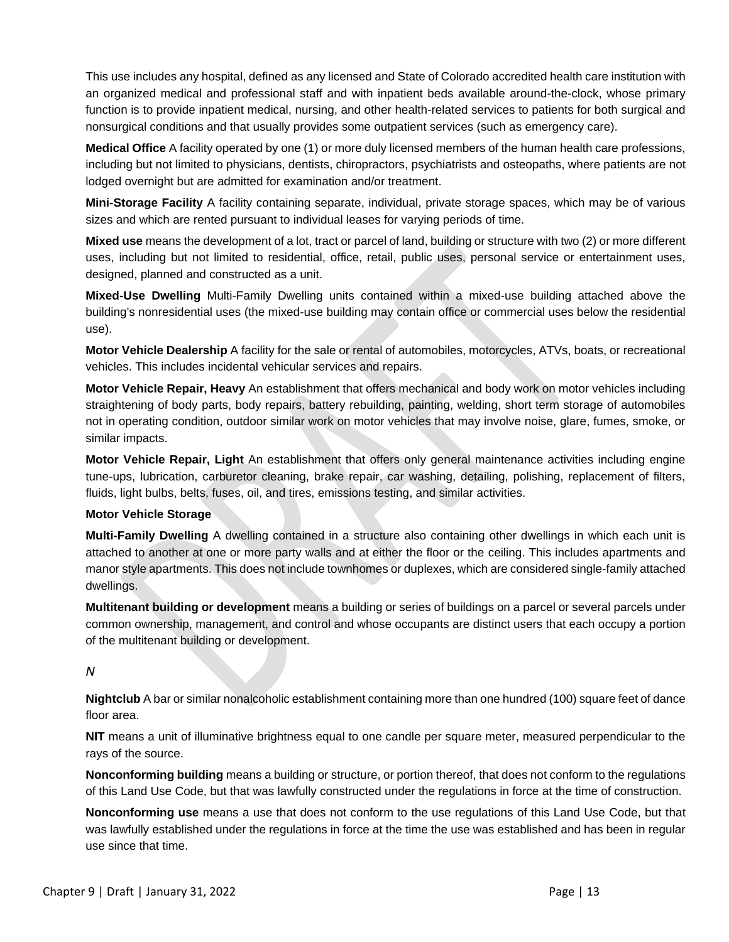This use includes any hospital, defined as any licensed and State of Colorado accredited health care institution with an organized medical and professional staff and with inpatient beds available around-the-clock, whose primary function is to provide inpatient medical, nursing, and other health-related services to patients for both surgical and nonsurgical conditions and that usually provides some outpatient services (such as emergency care).

**Medical Office** A facility operated by one (1) or more duly licensed members of the human health care professions, including but not limited to physicians, dentists, chiropractors, psychiatrists and osteopaths, where patients are not lodged overnight but are admitted for examination and/or treatment.

**Mini-Storage Facility** A facility containing separate, individual, private storage spaces, which may be of various sizes and which are rented pursuant to individual leases for varying periods of time.

**Mixed use** means the development of a lot, tract or parcel of land, building or structure with two (2) or more different uses, including but not limited to residential, office, retail, public uses, personal service or entertainment uses, designed, planned and constructed as a unit.

**Mixed-Use Dwelling** Multi-Family Dwelling units contained within a mixed-use building attached above the building's nonresidential uses (the mixed-use building may contain office or commercial uses below the residential use).

**Motor Vehicle Dealership** A facility for the sale or rental of automobiles, motorcycles, ATVs, boats, or recreational vehicles. This includes incidental vehicular services and repairs.

**Motor Vehicle Repair, Heavy** An establishment that offers mechanical and body work on motor vehicles including straightening of body parts, body repairs, battery rebuilding, painting, welding, short term storage of automobiles not in operating condition, outdoor similar work on motor vehicles that may involve noise, glare, fumes, smoke, or similar impacts.

**Motor Vehicle Repair, Light** An establishment that offers only general maintenance activities including engine tune-ups, lubrication, carburetor cleaning, brake repair, car washing, detailing, polishing, replacement of filters, fluids, light bulbs, belts, fuses, oil, and tires, emissions testing, and similar activities.

#### **Motor Vehicle Storage**

**Multi-Family Dwelling** A dwelling contained in a structure also containing other dwellings in which each unit is attached to another at one or more party walls and at either the floor or the ceiling. This includes apartments and manor style apartments. This does not include townhomes or duplexes, which are considered single-family attached dwellings.

**Multitenant building or development** means a building or series of buildings on a parcel or several parcels under common ownership, management, and control and whose occupants are distinct users that each occupy a portion of the multitenant building or development.

#### *N*

**Nightclub** A bar or similar nonalcoholic establishment containing more than one hundred (100) square feet of dance floor area.

**NIT** means a unit of illuminative brightness equal to one candle per square meter, measured perpendicular to the rays of the source.

**Nonconforming building** means a building or structure, or portion thereof, that does not conform to the regulations of this Land Use Code, but that was lawfully constructed under the regulations in force at the time of construction.

**Nonconforming use** means a use that does not conform to the use regulations of this Land Use Code, but that was lawfully established under the regulations in force at the time the use was established and has been in regular use since that time.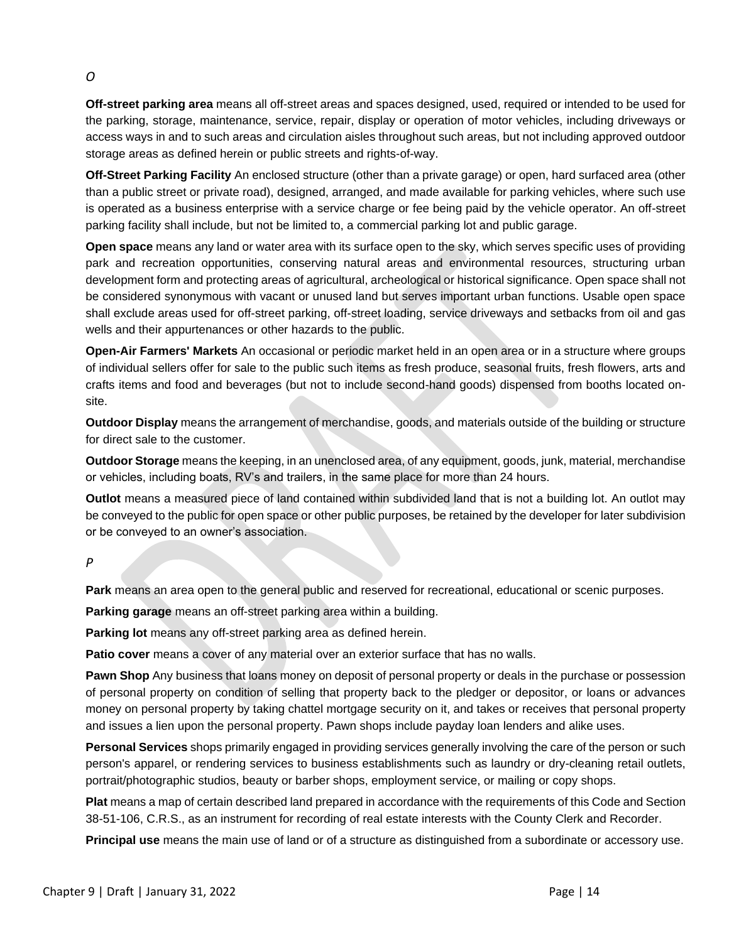**Off-street parking area** means all off-street areas and spaces designed, used, required or intended to be used for the parking, storage, maintenance, service, repair, display or operation of motor vehicles, including driveways or access ways in and to such areas and circulation aisles throughout such areas, but not including approved outdoor storage areas as defined herein or public streets and rights-of-way.

**Off-Street Parking Facility** An enclosed structure (other than a private garage) or open, hard surfaced area (other than a public street or private road), designed, arranged, and made available for parking vehicles, where such use is operated as a business enterprise with a service charge or fee being paid by the vehicle operator. An off-street parking facility shall include, but not be limited to, a commercial parking lot and public garage.

**Open space** means any land or water area with its surface open to the sky, which serves specific uses of providing park and recreation opportunities, conserving natural areas and environmental resources, structuring urban development form and protecting areas of agricultural, archeological or historical significance. Open space shall not be considered synonymous with vacant or unused land but serves important urban functions. Usable open space shall exclude areas used for off-street parking, off-street loading, service driveways and setbacks from oil and gas wells and their appurtenances or other hazards to the public.

**Open-Air Farmers' Markets** An occasional or periodic market held in an open area or in a structure where groups of individual sellers offer for sale to the public such items as fresh produce, seasonal fruits, fresh flowers, arts and crafts items and food and beverages (but not to include second-hand goods) dispensed from booths located onsite.

**Outdoor Display** means the arrangement of merchandise, goods, and materials outside of the building or structure for direct sale to the customer.

**Outdoor Storage** means the keeping, in an unenclosed area, of any equipment, goods, junk, material, merchandise or vehicles, including boats, RV's and trailers, in the same place for more than 24 hours.

**Outlot** means a measured piece of land contained within subdivided land that is not a building lot. An outlot may be conveyed to the public for open space or other public purposes, be retained by the developer for later subdivision or be conveyed to an owner's association.

#### *P*

**Park** means an area open to the general public and reserved for recreational, educational or scenic purposes.

**Parking garage** means an off-street parking area within a building.

**Parking lot** means any off-street parking area as defined herein.

**Patio cover** means a cover of any material over an exterior surface that has no walls.

**Pawn Shop** Any business that loans money on deposit of personal property or deals in the purchase or possession of personal property on condition of selling that property back to the pledger or depositor, or loans or advances money on personal property by taking chattel mortgage security on it, and takes or receives that personal property and issues a lien upon the personal property. Pawn shops include payday loan lenders and alike uses.

**Personal Services** shops primarily engaged in providing services generally involving the care of the person or such person's apparel, or rendering services to business establishments such as laundry or dry-cleaning retail outlets, portrait/photographic studios, beauty or barber shops, employment service, or mailing or copy shops.

**Plat** means a map of certain described land prepared in accordance with the requirements of this Code and Section 38-51-106, C.R.S., as an instrument for recording of real estate interests with the County Clerk and Recorder.

**Principal use** means the main use of land or of a structure as distinguished from a subordinate or accessory use.

#### *O*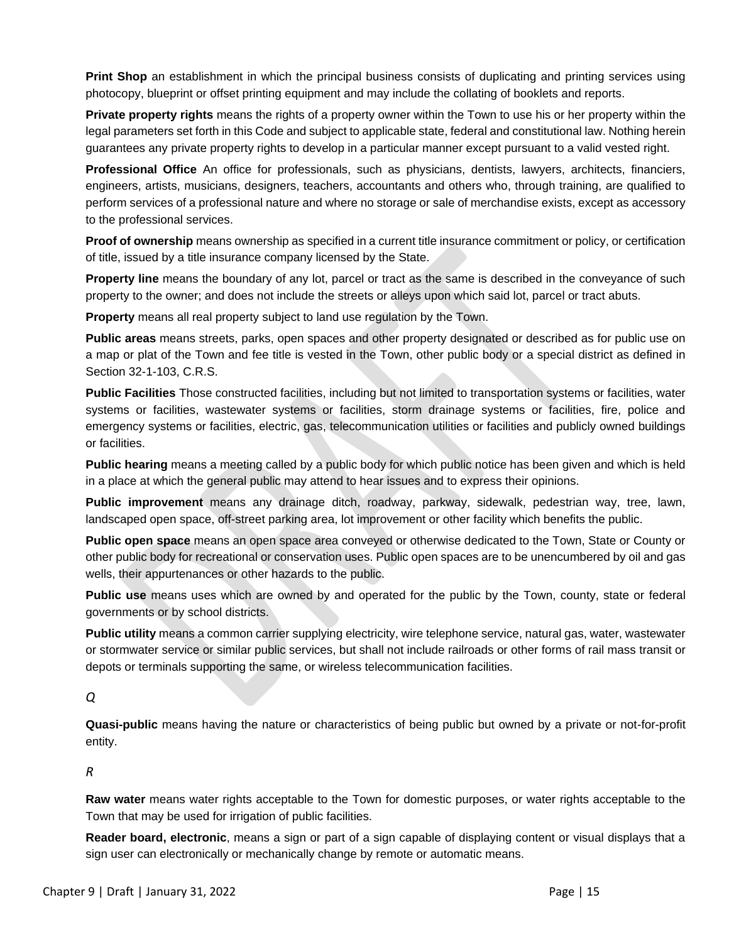**Print Shop** an establishment in which the principal business consists of duplicating and printing services using photocopy, blueprint or offset printing equipment and may include the collating of booklets and reports.

**Private property rights** means the rights of a property owner within the Town to use his or her property within the legal parameters set forth in this Code and subject to applicable state, federal and constitutional law. Nothing herein guarantees any private property rights to develop in a particular manner except pursuant to a valid vested right.

**Professional Office** An office for professionals, such as physicians, dentists, lawyers, architects, financiers, engineers, artists, musicians, designers, teachers, accountants and others who, through training, are qualified to perform services of a professional nature and where no storage or sale of merchandise exists, except as accessory to the professional services.

**Proof of ownership** means ownership as specified in a current title insurance commitment or policy, or certification of title, issued by a title insurance company licensed by the State.

**Property line** means the boundary of any lot, parcel or tract as the same is described in the conveyance of such property to the owner; and does not include the streets or alleys upon which said lot, parcel or tract abuts.

**Property** means all real property subject to land use regulation by the Town.

**Public areas** means streets, parks, open spaces and other property designated or described as for public use on a map or plat of the Town and fee title is vested in the Town, other public body or a special district as defined in Section 32-1-103, C.R.S.

**Public Facilities** Those constructed facilities, including but not limited to transportation systems or facilities, water systems or facilities, wastewater systems or facilities, storm drainage systems or facilities, fire, police and emergency systems or facilities, electric, gas, telecommunication utilities or facilities and publicly owned buildings or facilities.

**Public hearing** means a meeting called by a public body for which public notice has been given and which is held in a place at which the general public may attend to hear issues and to express their opinions.

**Public improvement** means any drainage ditch, roadway, parkway, sidewalk, pedestrian way, tree, lawn, landscaped open space, off-street parking area, lot improvement or other facility which benefits the public.

**Public open space** means an open space area conveyed or otherwise dedicated to the Town, State or County or other public body for recreational or conservation uses. Public open spaces are to be unencumbered by oil and gas wells, their appurtenances or other hazards to the public.

**Public use** means uses which are owned by and operated for the public by the Town, county, state or federal governments or by school districts.

**Public utility** means a common carrier supplying electricity, wire telephone service, natural gas, water, wastewater or stormwater service or similar public services, but shall not include railroads or other forms of rail mass transit or depots or terminals supporting the same, or wireless telecommunication facilities.

*Q*

**Quasi-public** means having the nature or characteristics of being public but owned by a private or not-for-profit entity.

*R*

**Raw water** means water rights acceptable to the Town for domestic purposes, or water rights acceptable to the Town that may be used for irrigation of public facilities.

**Reader board, electronic**, means a sign or part of a sign capable of displaying content or visual displays that a sign user can electronically or mechanically change by remote or automatic means.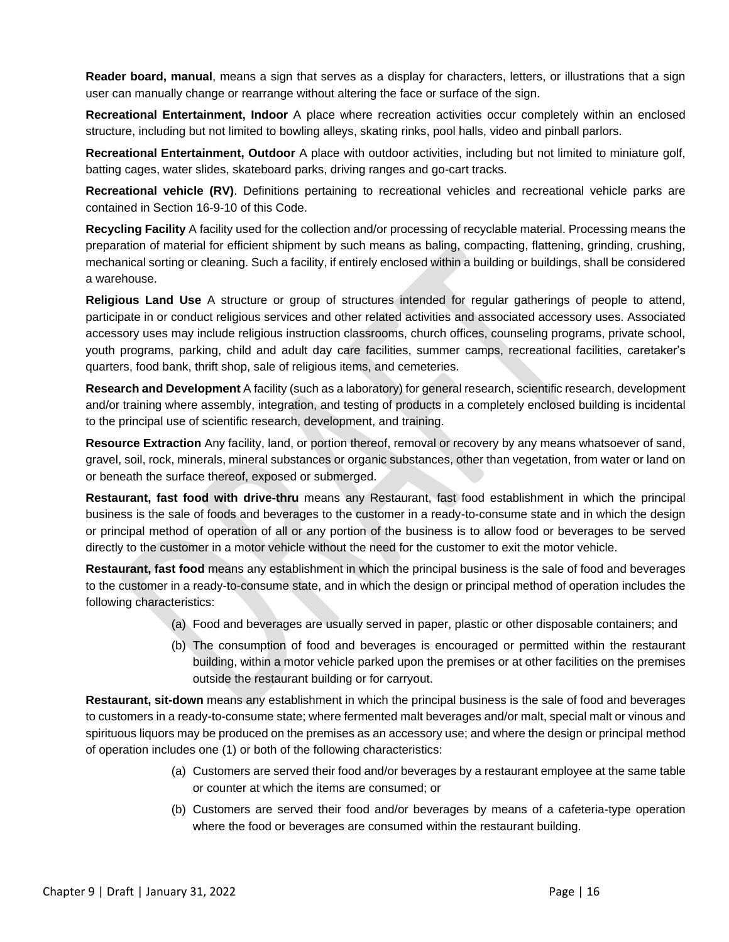**Reader board, manual**, means a sign that serves as a display for characters, letters, or illustrations that a sign user can manually change or rearrange without altering the face or surface of the sign.

**Recreational Entertainment, Indoor** A place where recreation activities occur completely within an enclosed structure, including but not limited to bowling alleys, skating rinks, pool halls, video and pinball parlors.

**Recreational Entertainment, Outdoor** A place with outdoor activities, including but not limited to miniature golf, batting cages, water slides, skateboard parks, driving ranges and go-cart tracks.

**Recreational vehicle (RV)**. Definitions pertaining to recreational vehicles and recreational vehicle parks are contained in Section 16-9-10 of this Code.

**Recycling Facility** A facility used for the collection and/or processing of recyclable material. Processing means the preparation of material for efficient shipment by such means as baling, compacting, flattening, grinding, crushing, mechanical sorting or cleaning. Such a facility, if entirely enclosed within a building or buildings, shall be considered a warehouse.

**Religious Land Use** A structure or group of structures intended for regular gatherings of people to attend, participate in or conduct religious services and other related activities and associated accessory uses. Associated accessory uses may include religious instruction classrooms, church offices, counseling programs, private school, youth programs, parking, child and adult day care facilities, summer camps, recreational facilities, caretaker's quarters, food bank, thrift shop, sale of religious items, and cemeteries.

**Research and Development** A facility (such as a laboratory) for general research, scientific research, development and/or training where assembly, integration, and testing of products in a completely enclosed building is incidental to the principal use of scientific research, development, and training.

**Resource Extraction** Any facility, land, or portion thereof, removal or recovery by any means whatsoever of sand, gravel, soil, rock, minerals, mineral substances or organic substances, other than vegetation, from water or land on or beneath the surface thereof, exposed or submerged.

**Restaurant, fast food with drive-thru** means any Restaurant, fast food establishment in which the principal business is the sale of foods and beverages to the customer in a ready-to-consume state and in which the design or principal method of operation of all or any portion of the business is to allow food or beverages to be served directly to the customer in a motor vehicle without the need for the customer to exit the motor vehicle.

**Restaurant, fast food** means any establishment in which the principal business is the sale of food and beverages to the customer in a ready-to-consume state, and in which the design or principal method of operation includes the following characteristics:

- (a) Food and beverages are usually served in paper, plastic or other disposable containers; and
- (b) The consumption of food and beverages is encouraged or permitted within the restaurant building, within a motor vehicle parked upon the premises or at other facilities on the premises outside the restaurant building or for carryout.

**Restaurant, sit-down** means any establishment in which the principal business is the sale of food and beverages to customers in a ready-to-consume state; where fermented malt beverages and/or malt, special malt or vinous and spirituous liquors may be produced on the premises as an accessory use; and where the design or principal method of operation includes one (1) or both of the following characteristics:

- (a) Customers are served their food and/or beverages by a restaurant employee at the same table or counter at which the items are consumed; or
- (b) Customers are served their food and/or beverages by means of a cafeteria-type operation where the food or beverages are consumed within the restaurant building.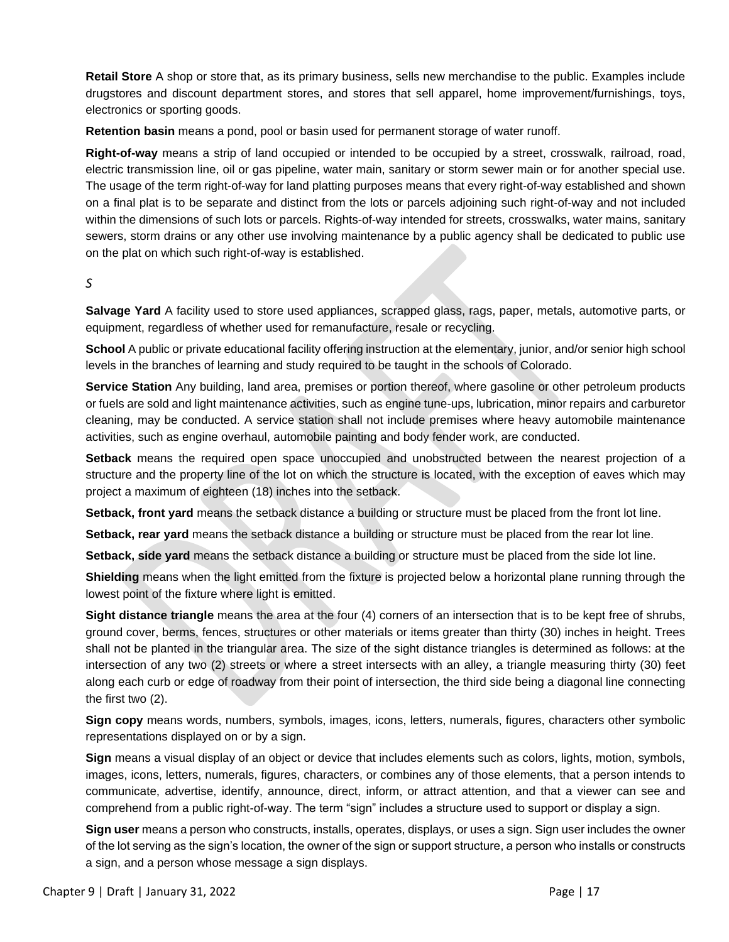**Retail Store** A shop or store that, as its primary business, sells new merchandise to the public. Examples include drugstores and discount department stores, and stores that sell apparel, home improvement/furnishings, toys, electronics or sporting goods.

**Retention basin** means a pond, pool or basin used for permanent storage of water runoff.

**Right-of-way** means a strip of land occupied or intended to be occupied by a street, crosswalk, railroad, road, electric transmission line, oil or gas pipeline, water main, sanitary or storm sewer main or for another special use. The usage of the term right-of-way for land platting purposes means that every right-of-way established and shown on a final plat is to be separate and distinct from the lots or parcels adjoining such right-of-way and not included within the dimensions of such lots or parcels. Rights-of-way intended for streets, crosswalks, water mains, sanitary sewers, storm drains or any other use involving maintenance by a public agency shall be dedicated to public use on the plat on which such right-of-way is established.

*S*

**Salvage Yard** A facility used to store used appliances, scrapped glass, rags, paper, metals, automotive parts, or equipment, regardless of whether used for remanufacture, resale or recycling.

**School** A public or private educational facility offering instruction at the elementary, junior, and/or senior high school levels in the branches of learning and study required to be taught in the schools of Colorado.

**Service Station** Any building, land area, premises or portion thereof, where gasoline or other petroleum products or fuels are sold and light maintenance activities, such as engine tune-ups, lubrication, minor repairs and carburetor cleaning, may be conducted. A service station shall not include premises where heavy automobile maintenance activities, such as engine overhaul, automobile painting and body fender work, are conducted.

**Setback** means the required open space unoccupied and unobstructed between the nearest projection of a structure and the property line of the lot on which the structure is located, with the exception of eaves which may project a maximum of eighteen (18) inches into the setback.

**Setback, front yard** means the setback distance a building or structure must be placed from the front lot line.

**Setback, rear yard** means the setback distance a building or structure must be placed from the rear lot line.

**Setback, side yard** means the setback distance a building or structure must be placed from the side lot line.

**Shielding** means when the light emitted from the fixture is projected below a horizontal plane running through the lowest point of the fixture where light is emitted.

**Sight distance triangle** means the area at the four (4) corners of an intersection that is to be kept free of shrubs, ground cover, berms, fences, structures or other materials or items greater than thirty (30) inches in height. Trees shall not be planted in the triangular area. The size of the sight distance triangles is determined as follows: at the intersection of any two (2) streets or where a street intersects with an alley, a triangle measuring thirty (30) feet along each curb or edge of roadway from their point of intersection, the third side being a diagonal line connecting the first two (2).

**Sign copy** means words, numbers, symbols, images, icons, letters, numerals, figures, characters other symbolic representations displayed on or by a sign.

**Sign** means a visual display of an object or device that includes elements such as colors, lights, motion, symbols, images, icons, letters, numerals, figures, characters, or combines any of those elements, that a person intends to communicate, advertise, identify, announce, direct, inform, or attract attention, and that a viewer can see and comprehend from a public right-of-way. The term "sign" includes a structure used to support or display a sign.

**Sign user** means a person who constructs, installs, operates, displays, or uses a sign. Sign user includes the owner of the lot serving as the sign's location, the owner of the sign or support structure, a person who installs or constructs a sign, and a person whose message a sign displays.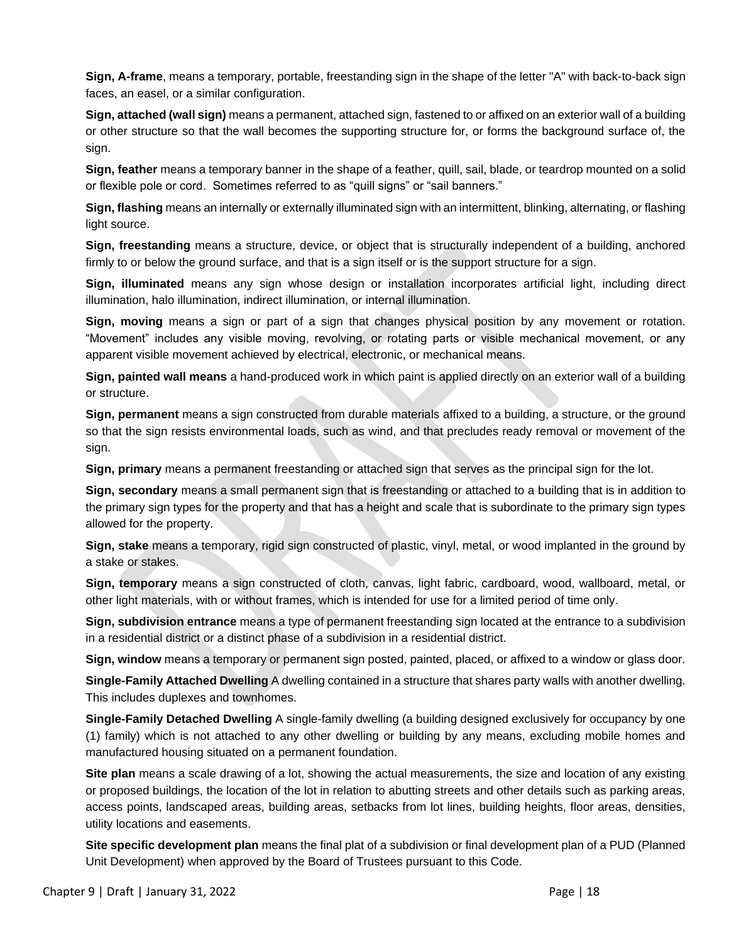**Sign, A-frame**, means a temporary, portable, freestanding sign in the shape of the letter "A" with back-to-back sign faces, an easel, or a similar configuration.

**Sign, attached (wall sign)** means a permanent, attached sign, fastened to or affixed on an exterior wall of a building or other structure so that the wall becomes the supporting structure for, or forms the background surface of, the sign.

**Sign, feather** means a temporary banner in the shape of a feather, quill, sail, blade, or teardrop mounted on a solid or flexible pole or cord. Sometimes referred to as "quill signs" or "sail banners."

**Sign, flashing** means an internally or externally illuminated sign with an intermittent, blinking, alternating, or flashing light source.

**Sign, freestanding** means a structure, device, or object that is structurally independent of a building, anchored firmly to or below the ground surface, and that is a sign itself or is the support structure for a sign.

**Sign, illuminated** means any sign whose design or installation incorporates artificial light, including direct illumination, halo illumination, indirect illumination, or internal illumination.

**Sign, moving** means a sign or part of a sign that changes physical position by any movement or rotation. "Movement" includes any visible moving, revolving, or rotating parts or visible mechanical movement, or any apparent visible movement achieved by electrical, electronic, or mechanical means.

**Sign, painted wall means** a hand-produced work in which paint is applied directly on an exterior wall of a building or structure.

**Sign, permanent** means a sign constructed from durable materials affixed to a building, a structure, or the ground so that the sign resists environmental loads, such as wind, and that precludes ready removal or movement of the sign.

**Sign, primary** means a permanent freestanding or attached sign that serves as the principal sign for the lot.

**Sign, secondary** means a small permanent sign that is freestanding or attached to a building that is in addition to the primary sign types for the property and that has a height and scale that is subordinate to the primary sign types allowed for the property.

**Sign, stake** means a temporary, rigid sign constructed of plastic, vinyl, metal, or wood implanted in the ground by a stake or stakes.

**Sign, temporary** means a sign constructed of cloth, canvas, light fabric, cardboard, wood, wallboard, metal, or other light materials, with or without frames, which is intended for use for a limited period of time only.

**Sign, subdivision entrance** means a type of permanent freestanding sign located at the entrance to a subdivision in a residential district or a distinct phase of a subdivision in a residential district.

**Sign, window** means a temporary or permanent sign posted, painted, placed, or affixed to a window or glass door.

**Single-Family Attached Dwelling** A dwelling contained in a structure that shares party walls with another dwelling. This includes duplexes and townhomes.

**Single-Family Detached Dwelling** A single-family dwelling (a building designed exclusively for occupancy by one (1) family) which is not attached to any other dwelling or building by any means, excluding mobile homes and manufactured housing situated on a permanent foundation.

**Site plan** means a scale drawing of a lot, showing the actual measurements, the size and location of any existing or proposed buildings, the location of the lot in relation to abutting streets and other details such as parking areas, access points, landscaped areas, building areas, setbacks from lot lines, building heights, floor areas, densities, utility locations and easements.

**Site specific development plan** means the final plat of a subdivision or final development plan of a PUD (Planned Unit Development) when approved by the Board of Trustees pursuant to this Code.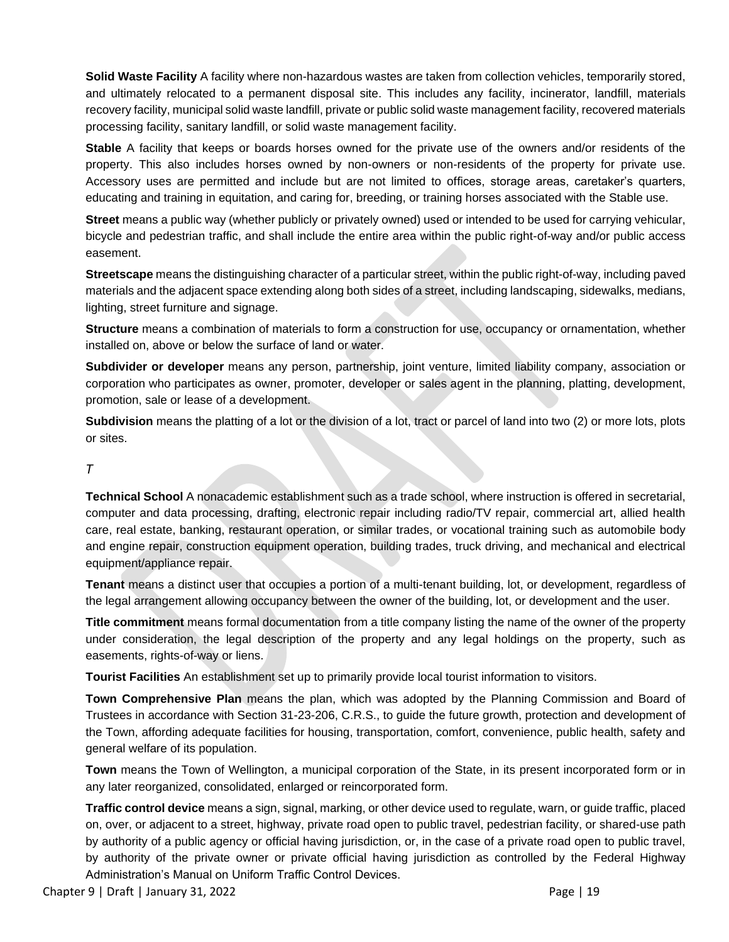**Solid Waste Facility** A facility where non-hazardous wastes are taken from collection vehicles, temporarily stored, and ultimately relocated to a permanent disposal site. This includes any facility, incinerator, landfill, materials recovery facility, municipal solid waste landfill, private or public solid waste management facility, recovered materials processing facility, sanitary landfill, or solid waste management facility.

**Stable** A facility that keeps or boards horses owned for the private use of the owners and/or residents of the property. This also includes horses owned by non-owners or non-residents of the property for private use. Accessory uses are permitted and include but are not limited to offices, storage areas, caretaker's quarters, educating and training in equitation, and caring for, breeding, or training horses associated with the Stable use.

**Street** means a public way (whether publicly or privately owned) used or intended to be used for carrying vehicular, bicycle and pedestrian traffic, and shall include the entire area within the public right-of-way and/or public access easement.

**Streetscape** means the distinguishing character of a particular street, within the public right-of-way, including paved materials and the adjacent space extending along both sides of a street, including landscaping, sidewalks, medians, lighting, street furniture and signage.

**Structure** means a combination of materials to form a construction for use, occupancy or ornamentation, whether installed on, above or below the surface of land or water.

**Subdivider or developer** means any person, partnership, joint venture, limited liability company, association or corporation who participates as owner, promoter, developer or sales agent in the planning, platting, development, promotion, sale or lease of a development.

**Subdivision** means the platting of a lot or the division of a lot, tract or parcel of land into two (2) or more lots, plots or sites.

#### *T*

**Technical School** A nonacademic establishment such as a trade school, where instruction is offered in secretarial, computer and data processing, drafting, electronic repair including radio/TV repair, commercial art, allied health care, real estate, banking, restaurant operation, or similar trades, or vocational training such as automobile body and engine repair, construction equipment operation, building trades, truck driving, and mechanical and electrical equipment/appliance repair.

**Tenant** means a distinct user that occupies a portion of a multi-tenant building, lot, or development, regardless of the legal arrangement allowing occupancy between the owner of the building, lot, or development and the user.

**Title commitment** means formal documentation from a title company listing the name of the owner of the property under consideration, the legal description of the property and any legal holdings on the property, such as easements, rights-of-way or liens.

**Tourist Facilities** An establishment set up to primarily provide local tourist information to visitors.

**Town Comprehensive Plan** means the plan, which was adopted by the Planning Commission and Board of Trustees in accordance with Section 31-23-206, C.R.S., to guide the future growth, protection and development of the Town, affording adequate facilities for housing, transportation, comfort, convenience, public health, safety and general welfare of its population.

**Town** means the Town of Wellington, a municipal corporation of the State, in its present incorporated form or in any later reorganized, consolidated, enlarged or reincorporated form.

**Traffic control device** means a sign, signal, marking, or other device used to regulate, warn, or guide traffic, placed on, over, or adjacent to a street, highway, private road open to public travel, pedestrian facility, or shared-use path by authority of a public agency or official having jurisdiction, or, in the case of a private road open to public travel, by authority of the private owner or private official having jurisdiction as controlled by the Federal Highway Administration's Manual on Uniform Traffic Control Devices.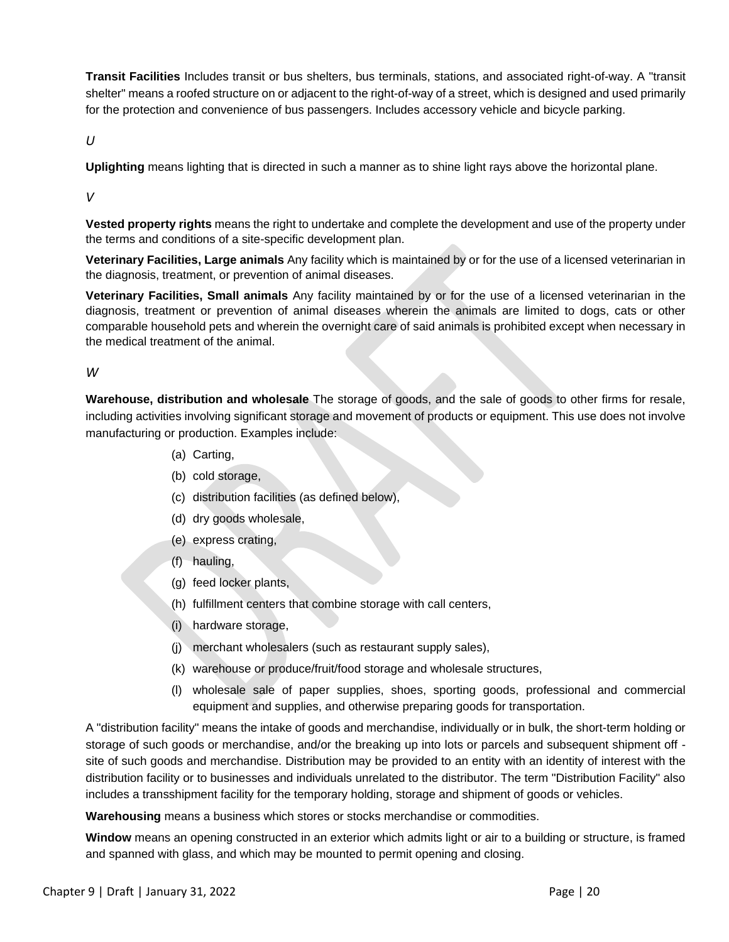**Transit Facilities** Includes transit or bus shelters, bus terminals, stations, and associated right-of-way. A "transit shelter" means a roofed structure on or adjacent to the right-of-way of a street, which is designed and used primarily for the protection and convenience of bus passengers. Includes accessory vehicle and bicycle parking.

*U*

**Uplighting** means lighting that is directed in such a manner as to shine light rays above the horizontal plane.

*V*

**Vested property rights** means the right to undertake and complete the development and use of the property under the terms and conditions of a site-specific development plan.

**Veterinary Facilities, Large animals** Any facility which is maintained by or for the use of a licensed veterinarian in the diagnosis, treatment, or prevention of animal diseases.

**Veterinary Facilities, Small animals** Any facility maintained by or for the use of a licensed veterinarian in the diagnosis, treatment or prevention of animal diseases wherein the animals are limited to dogs, cats or other comparable household pets and wherein the overnight care of said animals is prohibited except when necessary in the medical treatment of the animal.

#### *W*

**Warehouse, distribution and wholesale** The storage of goods, and the sale of goods to other firms for resale, including activities involving significant storage and movement of products or equipment. This use does not involve manufacturing or production. Examples include:

- (a) Carting,
- (b) cold storage,
- (c) distribution facilities (as defined below),
- (d) dry goods wholesale,
- (e) express crating,
- (f) hauling,
- (g) feed locker plants,
- (h) fulfillment centers that combine storage with call centers,
- (i) hardware storage,
- (j) merchant wholesalers (such as restaurant supply sales),
- (k) warehouse or produce/fruit/food storage and wholesale structures,
- (l) wholesale sale of paper supplies, shoes, sporting goods, professional and commercial equipment and supplies, and otherwise preparing goods for transportation.

A "distribution facility" means the intake of goods and merchandise, individually or in bulk, the short-term holding or storage of such goods or merchandise, and/or the breaking up into lots or parcels and subsequent shipment off site of such goods and merchandise. Distribution may be provided to an entity with an identity of interest with the distribution facility or to businesses and individuals unrelated to the distributor. The term "Distribution Facility" also includes a transshipment facility for the temporary holding, storage and shipment of goods or vehicles.

**Warehousing** means a business which stores or stocks merchandise or commodities.

**Window** means an opening constructed in an exterior which admits light or air to a building or structure, is framed and spanned with glass, and which may be mounted to permit opening and closing.